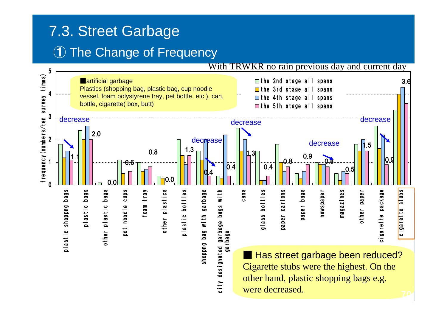## 7.3. Street Garbage ① The Change of Frequency

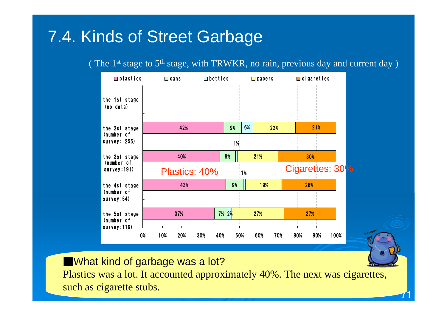## 7.4. Kinds of Street Garbage

( The  $1<sup>st</sup>$  stage to  $5<sup>th</sup>$  stage, with TRWKR, no rain, previous day and current day )



■What kind of garbage was a lot? Plastics was a lot. It accounted approximately 40%. The next was cigarettes, such as cigarette stubs.

71